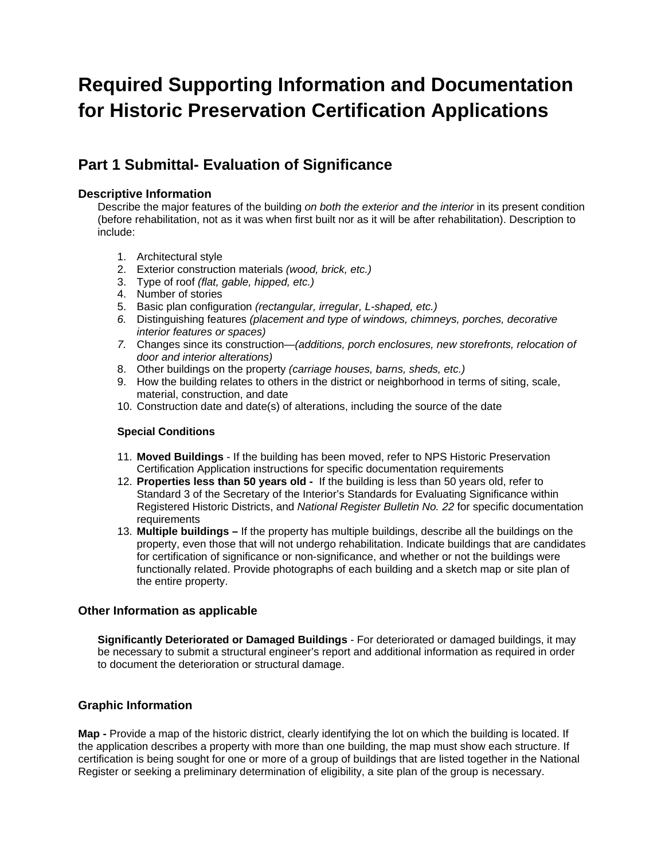# **Required Supporting Information and Documentation for Historic Preservation Certification Applications**

# **Part 1 Submittal- Evaluation of Significance**

### **Descriptive Information**

Describe the major features of the building *on both the exterior and the interior* in its present condition (before rehabilitation, not as it was when first built nor as it will be after rehabilitation). Description to include:

- 1. Architectural style
- 2. Exterior construction materials *(wood, brick, etc.)*
- 3. Type of roof *(flat, gable, hipped, etc.)*
- 4. Number of stories
- 5. Basic plan configuration *(rectangular, irregular, L-shaped, etc.)*
- *6.* Distinguishing features *(placement and type of windows, chimneys, porches, decorative interior features or spaces)*
- *7.* Changes since its construction—*(additions, porch enclosures, new storefronts, relocation of door and interior alterations)*
- 8. Other buildings on the property *(carriage houses, barns, sheds, etc.)*
- 9. How the building relates to others in the district or neighborhood in terms of siting, scale, material, construction, and date
- 10. Construction date and date(s) of alterations, including the source of the date

#### **Special Conditions**

- 11. **Moved Buildings** If the building has been moved, refer to NPS Historic Preservation Certification Application instructions for specific documentation requirements
- 12. **Properties less than 50 years old -** If the building is less than 50 years old, refer to Standard 3 of the Secretary of the Interior's Standards for Evaluating Significance within Registered Historic Districts, and *National Register Bulletin No. 22* for specific documentation **requirements**
- 13. **Multiple buildings** If the property has multiple buildings, describe all the buildings on the property, even those that will not undergo rehabilitation. Indicate buildings that are candidates for certification of significance or non-significance, and whether or not the buildings were functionally related. Provide photographs of each building and a sketch map or site plan of the entire property.

### **Other Information as applicable**

**Significantly Deteriorated or Damaged Buildings** - For deteriorated or damaged buildings, it may be necessary to submit a structural engineer's report and additional information as required in order to document the deterioration or structural damage.

## **Graphic Information**

**Map -** Provide a map of the historic district, clearly identifying the lot on which the building is located. If the application describes a property with more than one building, the map must show each structure. If certification is being sought for one or more of a group of buildings that are listed together in the National Register or seeking a preliminary determination of eligibility, a site plan of the group is necessary.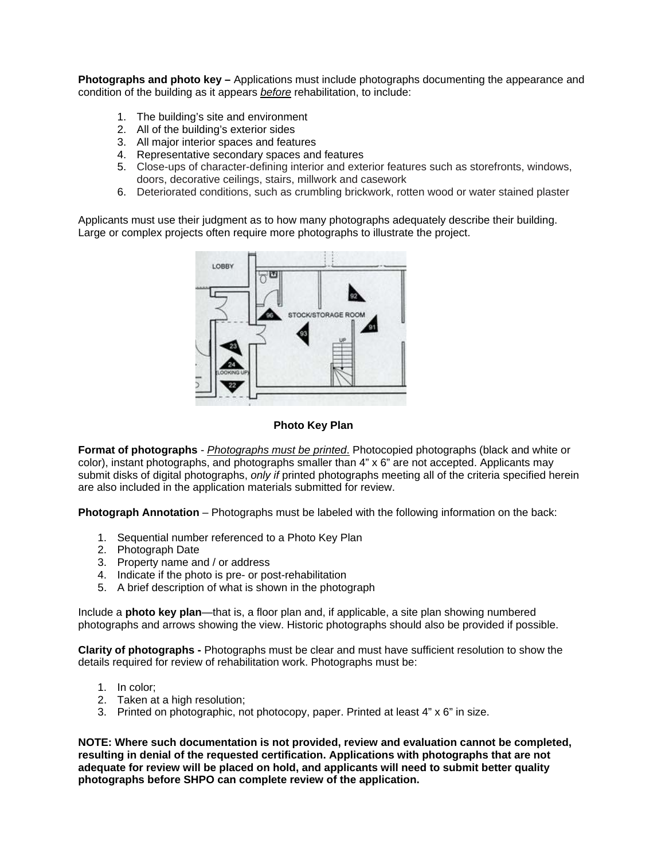**Photographs and photo key –** Applications must include photographs documenting the appearance and condition of the building as it appears *before* rehabilitation, to include:

- 1. The building's site and environment
- 2. All of the building's exterior sides
- 3. All major interior spaces and features
- 4. Representative secondary spaces and features
- 5. Close-ups of character-defining interior and exterior features such as storefronts, windows, doors, decorative ceilings, stairs, millwork and casework
- 6. Deteriorated conditions, such as crumbling brickwork, rotten wood or water stained plaster

Applicants must use their judgment as to how many photographs adequately describe their building. Large or complex projects often require more photographs to illustrate the project.



#### **Photo Key Plan**

**Format of photographs** - *Photographs must be printed*. Photocopied photographs (black and white or color), instant photographs, and photographs smaller than 4" x 6" are not accepted. Applicants may submit disks of digital photographs, *only if* printed photographs meeting all of the criteria specified herein are also included in the application materials submitted for review.

**Photograph Annotation** – Photographs must be labeled with the following information on the back:

- 1. Sequential number referenced to a Photo Key Plan
- 2. Photograph Date
- 3. Property name and / or address
- 4. Indicate if the photo is pre- or post-rehabilitation
- 5. A brief description of what is shown in the photograph

Include a **photo key plan**—that is, a floor plan and, if applicable, a site plan showing numbered photographs and arrows showing the view. Historic photographs should also be provided if possible.

**Clarity of photographs -** Photographs must be clear and must have sufficient resolution to show the details required for review of rehabilitation work. Photographs must be:

- 1. In color;
- 2. Taken at a high resolution;
- 3. Printed on photographic, not photocopy, paper. Printed at least 4" x 6" in size.

**NOTE: Where such documentation is not provided, review and evaluation cannot be completed, resulting in denial of the requested certification. Applications with photographs that are not adequate for review will be placed on hold, and applicants will need to submit better quality photographs before SHPO can complete review of the application.**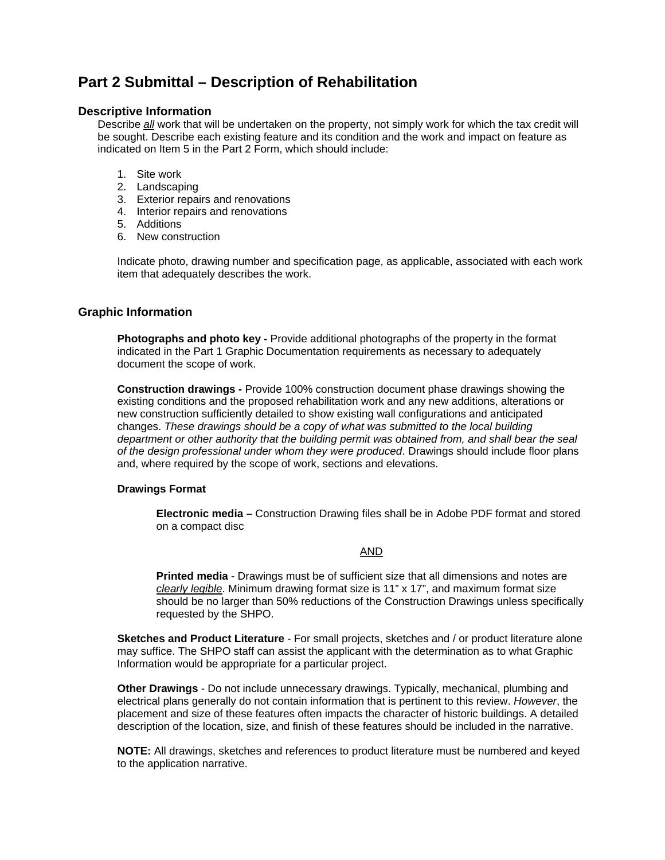# **Part 2 Submittal – Description of Rehabilitation**

#### **Descriptive Information**

Describe *all* work that will be undertaken on the property, not simply work for which the tax credit will be sought. Describe each existing feature and its condition and the work and impact on feature as indicated on Item 5 in the Part 2 Form, which should include:

- 1. Site work
- 2. Landscaping
- 3. Exterior repairs and renovations
- 4. Interior repairs and renovations
- 5. Additions
- 6. New construction

Indicate photo, drawing number and specification page, as applicable, associated with each work item that adequately describes the work.

#### **Graphic Information**

**Photographs and photo key -** Provide additional photographs of the property in the format indicated in the Part 1 Graphic Documentation requirements as necessary to adequately document the scope of work.

**Construction drawings -** Provide 100% construction document phase drawings showing the existing conditions and the proposed rehabilitation work and any new additions, alterations or new construction sufficiently detailed to show existing wall configurations and anticipated changes. *These drawings should be a copy of what was submitted to the local building department or other authority that the building permit was obtained from, and shall bear the seal of the design professional under whom they were produced*. Drawings should include floor plans and, where required by the scope of work, sections and elevations.

#### **Drawings Format**

**Electronic media –** Construction Drawing files shall be in Adobe PDF format and stored on a compact disc

#### AND

**Printed media** - Drawings must be of sufficient size that all dimensions and notes are *clearly legible*. Minimum drawing format size is 11" x 17", and maximum format size should be no larger than 50% reductions of the Construction Drawings unless specifically requested by the SHPO.

**Sketches and Product Literature** - For small projects, sketches and / or product literature alone may suffice. The SHPO staff can assist the applicant with the determination as to what Graphic Information would be appropriate for a particular project.

**Other Drawings** - Do not include unnecessary drawings. Typically, mechanical, plumbing and electrical plans generally do not contain information that is pertinent to this review. *However*, the placement and size of these features often impacts the character of historic buildings. A detailed description of the location, size, and finish of these features should be included in the narrative.

**NOTE:** All drawings, sketches and references to product literature must be numbered and keyed to the application narrative.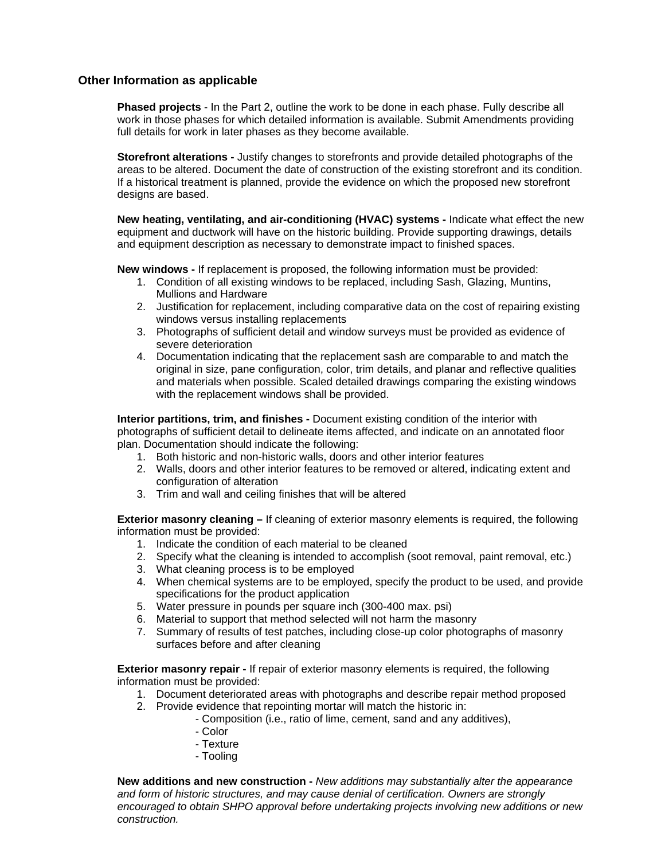#### **Other Information as applicable**

**Phased projects** - In the Part 2, outline the work to be done in each phase. Fully describe all work in those phases for which detailed information is available. Submit Amendments providing full details for work in later phases as they become available.

**Storefront alterations -** Justify changes to storefronts and provide detailed photographs of the areas to be altered. Document the date of construction of the existing storefront and its condition. If a historical treatment is planned, provide the evidence on which the proposed new storefront designs are based.

**New heating, ventilating, and air-conditioning (HVAC) systems -** Indicate what effect the new equipment and ductwork will have on the historic building. Provide supporting drawings, details and equipment description as necessary to demonstrate impact to finished spaces.

**New windows -** If replacement is proposed, the following information must be provided:

- 1. Condition of all existing windows to be replaced, including Sash, Glazing, Muntins, Mullions and Hardware
- 2. Justification for replacement, including comparative data on the cost of repairing existing windows versus installing replacements
- 3. Photographs of sufficient detail and window surveys must be provided as evidence of severe deterioration
- 4. Documentation indicating that the replacement sash are comparable to and match the original in size, pane configuration, color, trim details, and planar and reflective qualities and materials when possible. Scaled detailed drawings comparing the existing windows with the replacement windows shall be provided.

**Interior partitions, trim, and finishes -** Document existing condition of the interior with photographs of sufficient detail to delineate items affected, and indicate on an annotated floor plan. Documentation should indicate the following:

- 1. Both historic and non-historic walls, doors and other interior features
- 2. Walls, doors and other interior features to be removed or altered, indicating extent and configuration of alteration
- 3. Trim and wall and ceiling finishes that will be altered

**Exterior masonry cleaning –** If cleaning of exterior masonry elements is required, the following information must be provided:

- 1. Indicate the condition of each material to be cleaned
- 2. Specify what the cleaning is intended to accomplish (soot removal, paint removal, etc.)
- 3. What cleaning process is to be employed
- 4. When chemical systems are to be employed, specify the product to be used, and provide specifications for the product application
- 5. Water pressure in pounds per square inch (300-400 max. psi)
- 6. Material to support that method selected will not harm the masonry
- 7. Summary of results of test patches, including close-up color photographs of masonry surfaces before and after cleaning

**Exterior masonry repair -** If repair of exterior masonry elements is required, the following information must be provided:

- 1. Document deteriorated areas with photographs and describe repair method proposed
- 2. Provide evidence that repointing mortar will match the historic in:
	- Composition (i.e., ratio of lime, cement, sand and any additives),
	- Color
	- Texture
	- Tooling

**New additions and new construction -** *New additions may substantially alter the appearance and form of historic structures, and may cause denial of certification. Owners are strongly encouraged to obtain SHPO approval before undertaking projects involving new additions or new construction.*